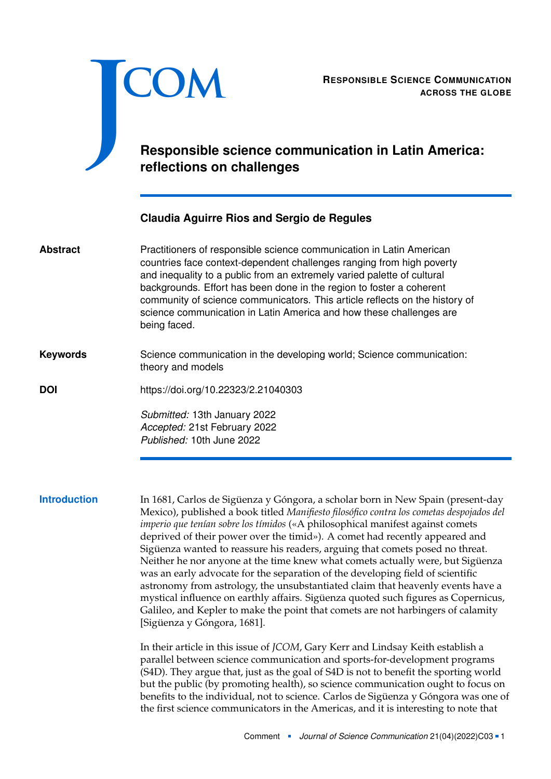<span id="page-0-0"></span>

# **Responsible science communication in Latin America: reflections on challenges**

## **Claudia Aguirre Rios and Sergio de Regules**

Practitioners of responsible science communication in Latin American countries face context-dependent challenges ranging from high poverty and inequality to a public from an extremely varied palette of cultural backgrounds. Effort has been done in the region to foster a coherent community of science communicators. This article reflects on the history of science communication in Latin America and how these challenges are being faced. **Abstract**

### Science communication in the developing world; Science communication: theory and models **Keywords**

**DOI** <https://doi.org/10.22323/2.21040303>

*Submitted:* 13th January 2022 *Accepted:* 21st February 2022 *Published:* 10th June 2022

**Introduction** In 1681, Carlos de Sigüenza y Góngora, a scholar born in New Spain (present-day Mexico), published a book titled *Manifiesto filosófico contra los cometas despojados del imperio que tenían sobre los tímidos* («A philosophical manifest against comets deprived of their power over the timid»). A comet had recently appeared and Sigüenza wanted to reassure his readers, arguing that comets posed no threat. Neither he nor anyone at the time knew what comets actually were, but Sigüenza was an early advocate for the separation of the developing field of scientific astronomy from astrology, the unsubstantiated claim that heavenly events have a mystical influence on earthly affairs. Sigüenza quoted such figures as Copernicus, Galileo, and Kepler to make the point that comets are not harbingers of calamity [Sigüenza y Góngora, [1681\]](#page-5-0).

> In their article in this issue of *JCOM*, Gary Kerr and Lindsay Keith establish a parallel between science communication and sports-for-development programs (S4D). They argue that, just as the goal of S4D is not to benefit the sporting world but the public (by promoting health), so science communication ought to focus on benefits to the individual, not to science. Carlos de Sigüenza y Góngora was one of the first science communicators in the Americas, and it is interesting to note that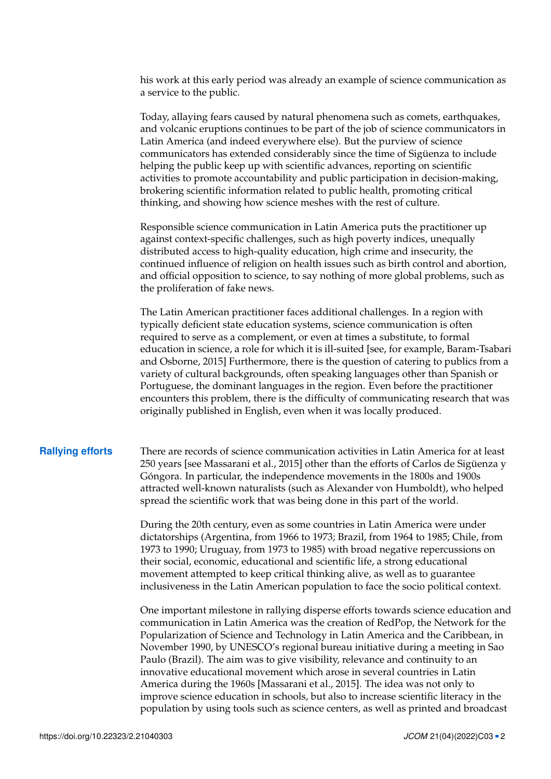his work at this early period was already an example of science communication as a service to the public.

Today, allaying fears caused by natural phenomena such as comets, earthquakes, and volcanic eruptions continues to be part of the job of science communicators in Latin America (and indeed everywhere else). But the purview of science communicators has extended considerably since the time of Sigüenza to include helping the public keep up with scientific advances, reporting on scientific activities to promote accountability and public participation in decision-making, brokering scientific information related to public health, promoting critical thinking, and showing how science meshes with the rest of culture.

Responsible science communication in Latin America puts the practitioner up against context-specific challenges, such as high poverty indices, unequally distributed access to high-quality education, high crime and insecurity, the continued influence of religion on health issues such as birth control and abortion, and official opposition to science, to say nothing of more global problems, such as the proliferation of fake news.

The Latin American practitioner faces additional challenges. In a region with typically deficient state education systems, science communication is often required to serve as a complement, or even at times a substitute, to formal education in science, a role for which it is ill-suited [see, for example, Baram-Tsabari and Osborne, [2015\]](#page-5-1) Furthermore, there is the question of catering to publics from a variety of cultural backgrounds, often speaking languages other than Spanish or Portuguese, the dominant languages in the region. Even before the practitioner encounters this problem, there is the difficulty of communicating research that was originally published in English, even when it was locally produced.

**Rallying efforts** There are records of science communication activities in Latin America for at least 250 years [see Massarani et al., [2015\]](#page-5-2) other than the efforts of Carlos de Sigüenza y Góngora. In particular, the independence movements in the 1800s and 1900s attracted well-known naturalists (such as Alexander von Humboldt), who helped spread the scientific work that was being done in this part of the world.

> During the 20th century, even as some countries in Latin America were under dictatorships (Argentina, from 1966 to 1973; Brazil, from 1964 to 1985; Chile, from 1973 to 1990; Uruguay, from 1973 to 1985) with broad negative repercussions on their social, economic, educational and scientific life, a strong educational movement attempted to keep critical thinking alive, as well as to guarantee inclusiveness in the Latin American population to face the socio political context.

One important milestone in rallying disperse efforts towards science education and communication in Latin America was the creation of RedPop, the Network for the Popularization of Science and Technology in Latin America and the Caribbean, in November 1990, by UNESCO's regional bureau initiative during a meeting in Sao Paulo (Brazil). The aim was to give visibility, relevance and continuity to an innovative educational movement which arose in several countries in Latin America during the 1960s [Massarani et al., [2015\]](#page-5-2). The idea was not only to improve science education in schools, but also to increase scientific literacy in the population by using tools such as science centers, as well as printed and broadcast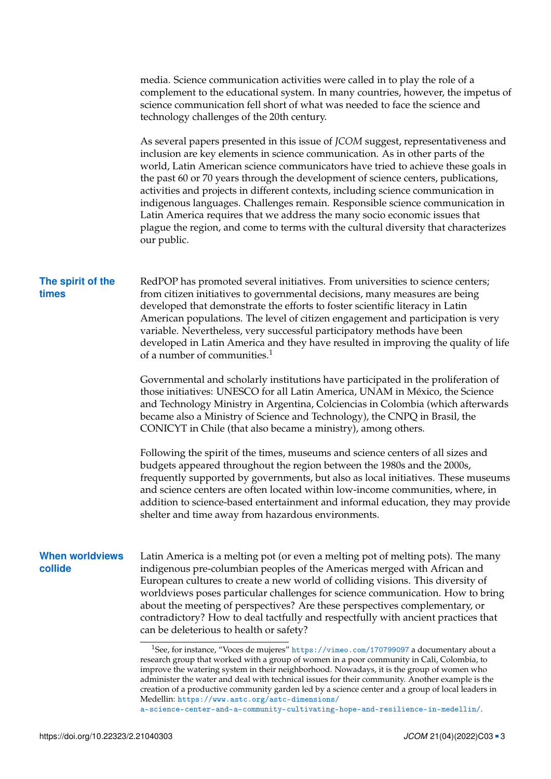media. Science communication activities were called in to play the role of a complement to the educational system. In many countries, however, the impetus of science communication fell short of what was needed to face the science and technology challenges of the 20th century.

As several papers presented in this issue of *JCOM* suggest, representativeness and inclusion are key elements in science communication. As in other parts of the world, Latin American science communicators have tried to achieve these goals in the past 60 or 70 years through the development of science centers, publications, activities and projects in different contexts, including science communication in indigenous languages. Challenges remain. Responsible science communication in Latin America requires that we address the many socio economic issues that plague the region, and come to terms with the cultural diversity that characterizes our public.

### **The spirit of the times**

RedPOP has promoted several initiatives. From universities to science centers; from citizen initiatives to governmental decisions, many measures are being developed that demonstrate the efforts to foster scientific literacy in Latin American populations. The level of citizen engagement and participation is very variable. Nevertheless, very successful participatory methods have been developed in Latin America and they have resulted in improving the quality of life of a number of communities. $1$ 

Governmental and scholarly institutions have participated in the proliferation of those initiatives: UNESCO for all Latin America, UNAM in México, the Science and Technology Ministry in Argentina, Colciencias in Colombia (which afterwards became also a Ministry of Science and Technology), the CNPQ in Brasil, the CONICYT in Chile (that also became a ministry), among others.

Following the spirit of the times, museums and science centers of all sizes and budgets appeared throughout the region between the 1980s and the 2000s, frequently supported by governments, but also as local initiatives. These museums and science centers are often located within low-income communities, where, in addition to science-based entertainment and informal education, they may provide shelter and time away from hazardous environments.

### **When worldviews collide**

Latin America is a melting pot (or even a melting pot of melting pots). The many indigenous pre-columbian peoples of the Americas merged with African and European cultures to create a new world of colliding visions. This diversity of worldviews poses particular challenges for science communication. How to bring about the meeting of perspectives? Are these perspectives complementary, or contradictory? How to deal tactfully and respectfully with ancient practices that can be deleterious to health or safety?

<sup>&</sup>lt;sup>1</sup>See, for instance, "Voces de mujeres" <https://vimeo.com/170799097> a documentary about a research group that worked with a group of women in a poor community in Cali, Colombia, to improve the watering system in their neighborhood. Nowadays, it is the group of women who administer the water and deal with technical issues for their community. Another example is the creation of a productive community garden led by a science center and a group of local leaders in Medellin: [https://www.astc.org/astc-dimensions/](https://www.astc.org/astc-dimensions/a-science-center-and-a-community-cultivating-hope-and-resilience-in-medellin/)

[a-science-center-and-a-community-cultivating-hope-and-resilience-in-medellin/](https://www.astc.org/astc-dimensions/a-science-center-and-a-community-cultivating-hope-and-resilience-in-medellin/).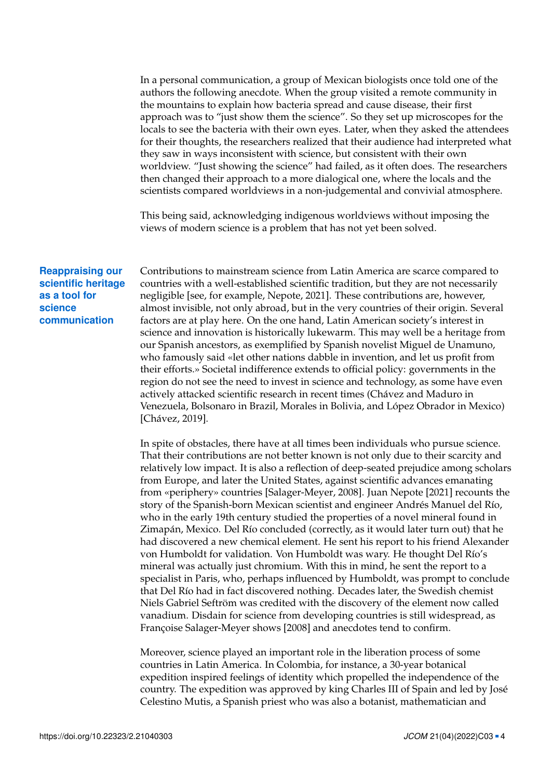In a personal communication, a group of Mexican biologists once told one of the authors the following anecdote. When the group visited a remote community in the mountains to explain how bacteria spread and cause disease, their first approach was to "just show them the science". So they set up microscopes for the locals to see the bacteria with their own eyes. Later, when they asked the attendees for their thoughts, the researchers realized that their audience had interpreted what they saw in ways inconsistent with science, but consistent with their own worldview. "Just showing the science" had failed, as it often does. The researchers then changed their approach to a more dialogical one, where the locals and the scientists compared worldviews in a non-judgemental and convivial atmosphere.

This being said, acknowledging indigenous worldviews without imposing the views of modern science is a problem that has not yet been solved.

### **Reappraising our scientific heritage as a tool for science communication**

Contributions to mainstream science from Latin America are scarce compared to countries with a well-established scientific tradition, but they are not necessarily negligible [see, for example, Nepote, [2021\]](#page-5-3). These contributions are, however, almost invisible, not only abroad, but in the very countries of their origin. Several factors are at play here. On the one hand, Latin American society's interest in science and innovation is historically lukewarm. This may well be a heritage from our Spanish ancestors, as exemplified by Spanish novelist Miguel de Unamuno, who famously said «let other nations dabble in invention, and let us profit from their efforts.» Societal indifference extends to official policy: governments in the region do not see the need to invest in science and technology, as some have even actively attacked scientific research in recent times (Chávez and Maduro in Venezuela, Bolsonaro in Brazil, Morales in Bolivia, and López Obrador in Mexico) [Chávez, [2019\]](#page-5-4).

In spite of obstacles, there have at all times been individuals who pursue science. That their contributions are not better known is not only due to their scarcity and relatively low impact. It is also a reflection of deep-seated prejudice among scholars from Europe, and later the United States, against scientific advances emanating from «periphery» countries [Salager-Meyer, [2008\]](#page-5-5). Juan Nepote [\[2021\]](#page-5-3) recounts the story of the Spanish-born Mexican scientist and engineer Andrés Manuel del Río, who in the early 19th century studied the properties of a novel mineral found in Zimapán, Mexico. Del Río concluded (correctly, as it would later turn out) that he had discovered a new chemical element. He sent his report to his friend Alexander von Humboldt for validation. Von Humboldt was wary. He thought Del Río's mineral was actually just chromium. With this in mind, he sent the report to a specialist in Paris, who, perhaps influenced by Humboldt, was prompt to conclude that Del Río had in fact discovered nothing. Decades later, the Swedish chemist Niels Gabriel Seftröm was credited with the discovery of the element now called vanadium. Disdain for science from developing countries is still widespread, as Françoise Salager-Meyer shows [\[2008\]](#page-5-5) and anecdotes tend to confirm.

Moreover, science played an important role in the liberation process of some countries in Latin America. In Colombia, for instance, a 30-year botanical expedition inspired feelings of identity which propelled the independence of the country. The expedition was approved by king Charles III of Spain and led by José Celestino Mutis, a Spanish priest who was also a botanist, mathematician and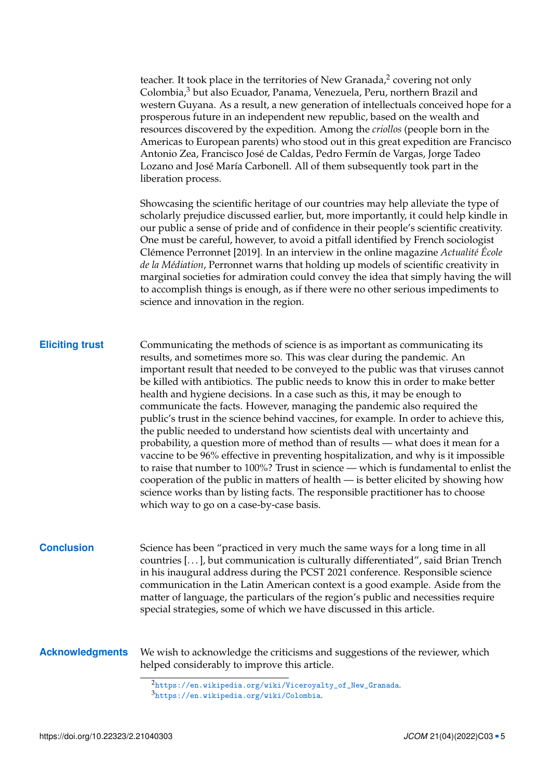| teacher. It took place in the territories of New Granada, $\frac{2}{3}$ covering not only |
|-------------------------------------------------------------------------------------------|
| Colombia, <sup>3</sup> but also Ecuador, Panama, Venezuela, Peru, northern Brazil and     |
| western Guyana. As a result, a new generation of intellectuals conceived hope for a       |
| prosperous future in an independent new republic, based on the wealth and                 |
| resources discovered by the expedition. Among the criollos (people born in the            |
| Americas to European parents) who stood out in this great expedition are Francisco        |
| Antonio Zea, Francisco José de Caldas, Pedro Fermín de Vargas, Jorge Tadeo                |
| Lozano and José María Carbonell. All of them subsequently took part in the                |
| liberation process.                                                                       |

Showcasing the scientific heritage of our countries may help alleviate the type of scholarly prejudice discussed earlier, but, more importantly, it could help kindle in our public a sense of pride and of confidence in their people's scientific creativity. One must be careful, however, to avoid a pitfall identified by French sociologist Clémence Perronnet [\[2019\]](#page-5-6). In an interview in the online magazine *Actualité École de la Médiation*, Perronnet warns that holding up models of scientific creativity in marginal societies for admiration could convey the idea that simply having the will to accomplish things is enough, as if there were no other serious impediments to science and innovation in the region.

### **Eliciting trust** Communicating the methods of science is as important as communicating its results, and sometimes more so. This was clear during the pandemic. An important result that needed to be conveyed to the public was that viruses cannot be killed with antibiotics. The public needs to know this in order to make better health and hygiene decisions. In a case such as this, it may be enough to communicate the facts. However, managing the pandemic also required the public's trust in the science behind vaccines, for example. In order to achieve this, the public needed to understand how scientists deal with uncertainty and probability, a question more of method than of results — what does it mean for a vaccine to be 96% effective in preventing hospitalization, and why is it impossible to raise that number to 100%? Trust in science — which is fundamental to enlist the cooperation of the public in matters of health — is better elicited by showing how science works than by listing facts. The responsible practitioner has to choose which way to go on a case-by-case basis.

**Conclusion** Science has been "practiced in very much the same ways for a long time in all countries [. . . ], but communication is culturally differentiated", said Brian Trench in his inaugural address during the PCST 2021 conference. Responsible science communication in the Latin American context is a good example. Aside from the matter of language, the particulars of the region's public and necessities require special strategies, some of which we have discussed in this article.

**Acknowledgments** We wish to acknowledge the criticisms and suggestions of the reviewer, which helped considerably to improve this article.

 $2$ https://en.wikipedia.org/wiki/Vicerovalty\_of\_New\_Granada. <sup>3</sup><https://en.wikipedia.org/wiki/Colombia>.